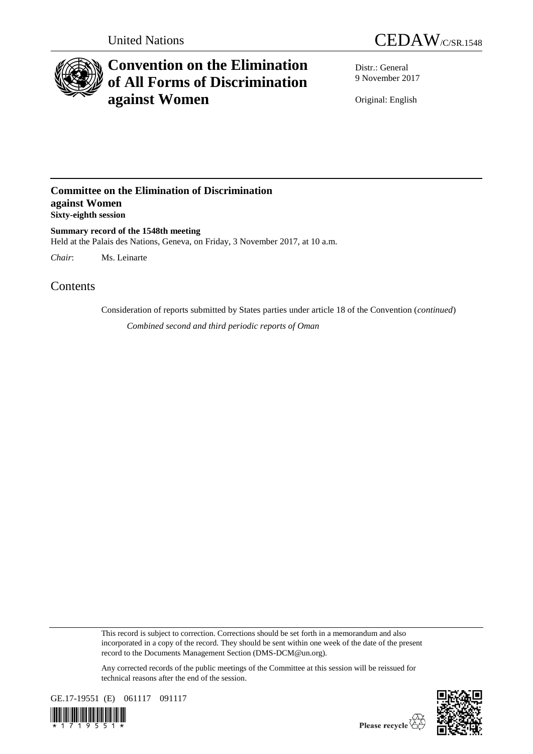



# **Convention on the Elimination of All Forms of Discrimination against Women**

Distr.: General 9 November 2017

Original: English

### **Committee on the Elimination of Discrimination against Women Sixty-eighth session**

**Summary record of the 1548th meeting** Held at the Palais des Nations, Geneva, on Friday, 3 November 2017, at 10 a.m.

*Chair*: Ms. Leinarte

## Contents

Consideration of reports submitted by States parties under article 18 of the Convention (*continued*) *Combined second and third periodic reports of Oman*

This record is subject to correction. Corrections should be set forth in a memorandum and also incorporated in a copy of the record. They should be sent within one week of the date of the present record to the Documents Management Section (DMS-DCM@un.org).

Any corrected records of the public meetings of the Committee at this session will be reissued for technical reasons after the end of the session.



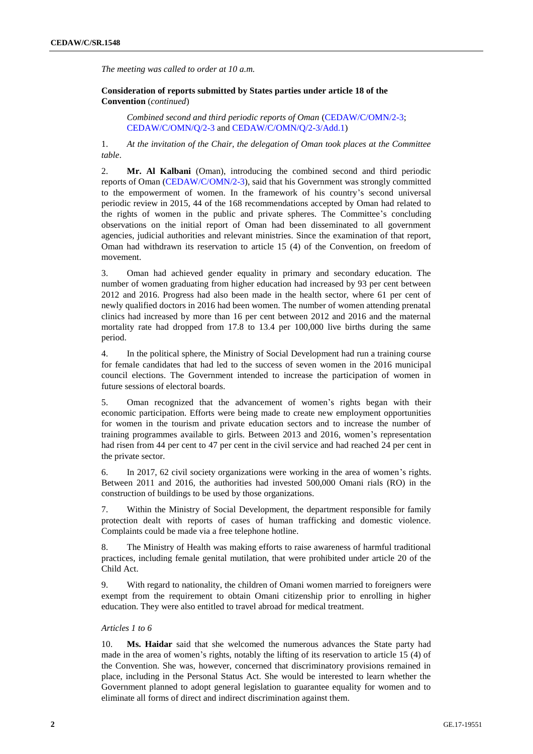*The meeting was called to order at 10 a.m.*

**Consideration of reports submitted by States parties under article 18 of the Convention** (*continued*)

*Combined second and third periodic reports of Oman* [\(CEDAW/C/OMN/2-3;](http://undocs.org/en/CEDAW/C/OMN/2-3) [CEDAW/C/OMN/Q/2-3](http://undocs.org/en/CEDAW/C/OMN/Q/2-3) and [CEDAW/C/OMN/Q/2-3/Add.1\)](http://undocs.org/en/CEDAW/C/OMN/Q/2-3/Add.1)

1. *At the invitation of the Chair, the delegation of Oman took places at the Committee table*.

2. **Mr. Al Kalbani** (Oman), introducing the combined second and third periodic reports of Oman [\(CEDAW/C/OMN/2-3\)](http://undocs.org/en/CEDAW/C/OMN/2-3), said that his Government was strongly committed to the empowerment of women. In the framework of his country's second universal periodic review in 2015, 44 of the 168 recommendations accepted by Oman had related to the rights of women in the public and private spheres. The Committee's concluding observations on the initial report of Oman had been disseminated to all government agencies, judicial authorities and relevant ministries. Since the examination of that report, Oman had withdrawn its reservation to article 15 (4) of the Convention, on freedom of movement.

3. Oman had achieved gender equality in primary and secondary education. The number of women graduating from higher education had increased by 93 per cent between 2012 and 2016. Progress had also been made in the health sector, where 61 per cent of newly qualified doctors in 2016 had been women. The number of women attending prenatal clinics had increased by more than 16 per cent between 2012 and 2016 and the maternal mortality rate had dropped from 17.8 to 13.4 per 100,000 live births during the same period.

4. In the political sphere, the Ministry of Social Development had run a training course for female candidates that had led to the success of seven women in the 2016 municipal council elections. The Government intended to increase the participation of women in future sessions of electoral boards.

5. Oman recognized that the advancement of women's rights began with their economic participation. Efforts were being made to create new employment opportunities for women in the tourism and private education sectors and to increase the number of training programmes available to girls. Between 2013 and 2016, women's representation had risen from 44 per cent to 47 per cent in the civil service and had reached 24 per cent in the private sector.

6. In 2017, 62 civil society organizations were working in the area of women's rights. Between 2011 and 2016, the authorities had invested 500,000 Omani rials (RO) in the construction of buildings to be used by those organizations.

7. Within the Ministry of Social Development, the department responsible for family protection dealt with reports of cases of human trafficking and domestic violence. Complaints could be made via a free telephone hotline.

8. The Ministry of Health was making efforts to raise awareness of harmful traditional practices, including female genital mutilation, that were prohibited under article 20 of the Child Act.

9. With regard to nationality, the children of Omani women married to foreigners were exempt from the requirement to obtain Omani citizenship prior to enrolling in higher education. They were also entitled to travel abroad for medical treatment.

#### *Articles 1 to 6*

10. **Ms. Haidar** said that she welcomed the numerous advances the State party had made in the area of women's rights, notably the lifting of its reservation to article 15 (4) of the Convention. She was, however, concerned that discriminatory provisions remained in place, including in the Personal Status Act. She would be interested to learn whether the Government planned to adopt general legislation to guarantee equality for women and to eliminate all forms of direct and indirect discrimination against them.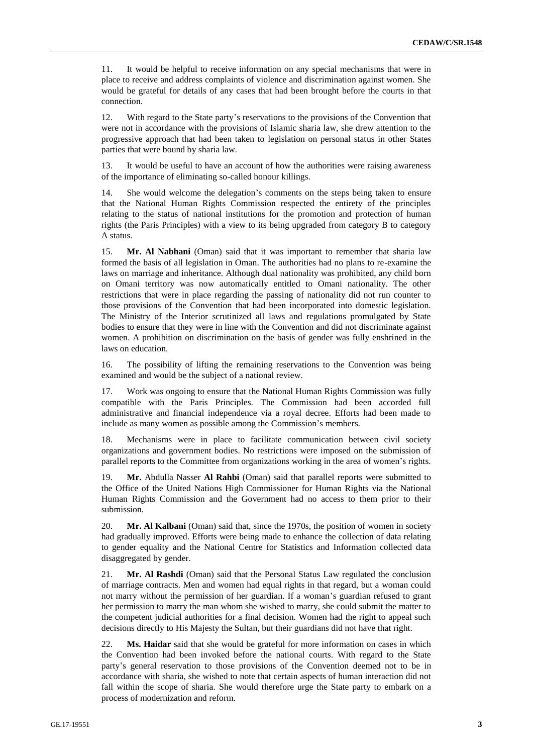11. It would be helpful to receive information on any special mechanisms that were in place to receive and address complaints of violence and discrimination against women. She would be grateful for details of any cases that had been brought before the courts in that connection.

12. With regard to the State party's reservations to the provisions of the Convention that were not in accordance with the provisions of Islamic sharia law, she drew attention to the progressive approach that had been taken to legislation on personal status in other States parties that were bound by sharia law.

13. It would be useful to have an account of how the authorities were raising awareness of the importance of eliminating so-called honour killings.

14. She would welcome the delegation's comments on the steps being taken to ensure that the National Human Rights Commission respected the entirety of the principles relating to the status of national institutions for the promotion and protection of human rights (the Paris Principles) with a view to its being upgraded from category B to category A status.

15. **Mr. Al Nabhani** (Oman) said that it was important to remember that sharia law formed the basis of all legislation in Oman. The authorities had no plans to re-examine the laws on marriage and inheritance. Although dual nationality was prohibited, any child born on Omani territory was now automatically entitled to Omani nationality. The other restrictions that were in place regarding the passing of nationality did not run counter to those provisions of the Convention that had been incorporated into domestic legislation. The Ministry of the Interior scrutinized all laws and regulations promulgated by State bodies to ensure that they were in line with the Convention and did not discriminate against women. A prohibition on discrimination on the basis of gender was fully enshrined in the laws on education.

16. The possibility of lifting the remaining reservations to the Convention was being examined and would be the subject of a national review.

17. Work was ongoing to ensure that the National Human Rights Commission was fully compatible with the Paris Principles. The Commission had been accorded full administrative and financial independence via a royal decree. Efforts had been made to include as many women as possible among the Commission's members.

18. Mechanisms were in place to facilitate communication between civil society organizations and government bodies. No restrictions were imposed on the submission of parallel reports to the Committee from organizations working in the area of women's rights.

19. **Mr.** Abdulla Nasser **Al Rahbi** (Oman) said that parallel reports were submitted to the Office of the United Nations High Commissioner for Human Rights via the National Human Rights Commission and the Government had no access to them prior to their submission.

20. **Mr. Al Kalbani** (Oman) said that, since the 1970s, the position of women in society had gradually improved. Efforts were being made to enhance the collection of data relating to gender equality and the National Centre for Statistics and Information collected data disaggregated by gender.

21. **Mr. Al Rashdi** (Oman) said that the Personal Status Law regulated the conclusion of marriage contracts. Men and women had equal rights in that regard, but a woman could not marry without the permission of her guardian. If a woman's guardian refused to grant her permission to marry the man whom she wished to marry, she could submit the matter to the competent judicial authorities for a final decision. Women had the right to appeal such decisions directly to His Majesty the Sultan, but their guardians did not have that right.

22. **Ms. Haidar** said that she would be grateful for more information on cases in which the Convention had been invoked before the national courts. With regard to the State party's general reservation to those provisions of the Convention deemed not to be in accordance with sharia, she wished to note that certain aspects of human interaction did not fall within the scope of sharia. She would therefore urge the State party to embark on a process of modernization and reform.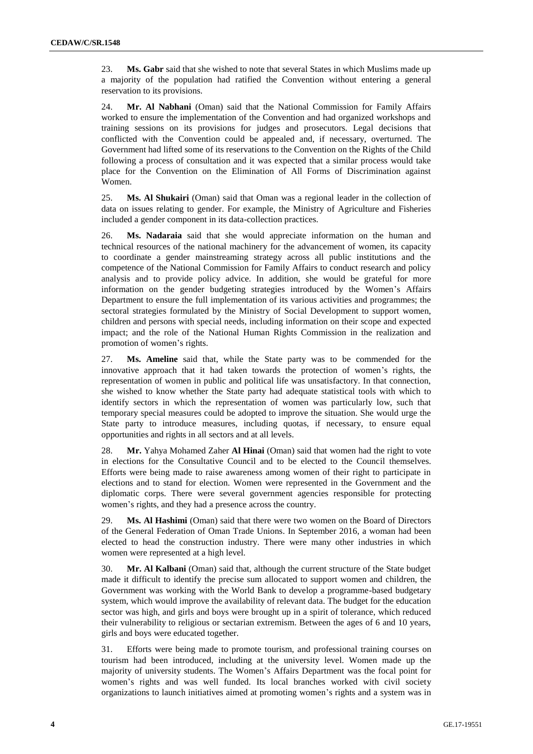23. **Ms. Gabr** said that she wished to note that several States in which Muslims made up a majority of the population had ratified the Convention without entering a general reservation to its provisions.

24. **Mr. Al Nabhani** (Oman) said that the National Commission for Family Affairs worked to ensure the implementation of the Convention and had organized workshops and training sessions on its provisions for judges and prosecutors. Legal decisions that conflicted with the Convention could be appealed and, if necessary, overturned. The Government had lifted some of its reservations to the Convention on the Rights of the Child following a process of consultation and it was expected that a similar process would take place for the Convention on the Elimination of All Forms of Discrimination against Women.

25. **Ms. Al Shukairi** (Oman) said that Oman was a regional leader in the collection of data on issues relating to gender. For example, the Ministry of Agriculture and Fisheries included a gender component in its data-collection practices.

26. **Ms. Nadaraia** said that she would appreciate information on the human and technical resources of the national machinery for the advancement of women, its capacity to coordinate a gender mainstreaming strategy across all public institutions and the competence of the National Commission for Family Affairs to conduct research and policy analysis and to provide policy advice. In addition, she would be grateful for more information on the gender budgeting strategies introduced by the Women's Affairs Department to ensure the full implementation of its various activities and programmes; the sectoral strategies formulated by the Ministry of Social Development to support women, children and persons with special needs, including information on their scope and expected impact; and the role of the National Human Rights Commission in the realization and promotion of women's rights.

27. **Ms. Ameline** said that, while the State party was to be commended for the innovative approach that it had taken towards the protection of women's rights, the representation of women in public and political life was unsatisfactory. In that connection, she wished to know whether the State party had adequate statistical tools with which to identify sectors in which the representation of women was particularly low, such that temporary special measures could be adopted to improve the situation. She would urge the State party to introduce measures, including quotas, if necessary, to ensure equal opportunities and rights in all sectors and at all levels.

28. **Mr.** Yahya Mohamed Zaher **Al Hinai** (Oman) said that women had the right to vote in elections for the Consultative Council and to be elected to the Council themselves. Efforts were being made to raise awareness among women of their right to participate in elections and to stand for election. Women were represented in the Government and the diplomatic corps. There were several government agencies responsible for protecting women's rights, and they had a presence across the country.

29. **Ms. Al Hashimi** (Oman) said that there were two women on the Board of Directors of the General Federation of Oman Trade Unions. In September 2016, a woman had been elected to head the construction industry. There were many other industries in which women were represented at a high level.

30. **Mr. Al Kalbani** (Oman) said that, although the current structure of the State budget made it difficult to identify the precise sum allocated to support women and children, the Government was working with the World Bank to develop a programme-based budgetary system, which would improve the availability of relevant data. The budget for the education sector was high, and girls and boys were brought up in a spirit of tolerance, which reduced their vulnerability to religious or sectarian extremism. Between the ages of 6 and 10 years, girls and boys were educated together.

31. Efforts were being made to promote tourism, and professional training courses on tourism had been introduced, including at the university level. Women made up the majority of university students. The Women's Affairs Department was the focal point for women's rights and was well funded. Its local branches worked with civil society organizations to launch initiatives aimed at promoting women's rights and a system was in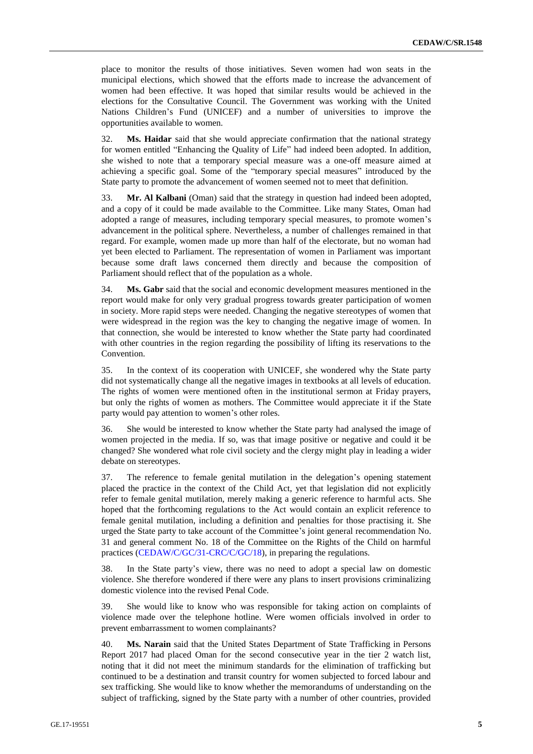place to monitor the results of those initiatives. Seven women had won seats in the municipal elections, which showed that the efforts made to increase the advancement of women had been effective. It was hoped that similar results would be achieved in the elections for the Consultative Council. The Government was working with the United Nations Children's Fund (UNICEF) and a number of universities to improve the opportunities available to women.

32. **Ms. Haidar** said that she would appreciate confirmation that the national strategy for women entitled "Enhancing the Quality of Life" had indeed been adopted. In addition, she wished to note that a temporary special measure was a one-off measure aimed at achieving a specific goal. Some of the "temporary special measures" introduced by the State party to promote the advancement of women seemed not to meet that definition.

33. **Mr. Al Kalbani** (Oman) said that the strategy in question had indeed been adopted, and a copy of it could be made available to the Committee. Like many States, Oman had adopted a range of measures, including temporary special measures, to promote women's advancement in the political sphere. Nevertheless, a number of challenges remained in that regard. For example, women made up more than half of the electorate, but no woman had yet been elected to Parliament. The representation of women in Parliament was important because some draft laws concerned them directly and because the composition of Parliament should reflect that of the population as a whole.

34. **Ms. Gabr** said that the social and economic development measures mentioned in the report would make for only very gradual progress towards greater participation of women in society. More rapid steps were needed. Changing the negative stereotypes of women that were widespread in the region was the key to changing the negative image of women. In that connection, she would be interested to know whether the State party had coordinated with other countries in the region regarding the possibility of lifting its reservations to the Convention.

35. In the context of its cooperation with UNICEF, she wondered why the State party did not systematically change all the negative images in textbooks at all levels of education. The rights of women were mentioned often in the institutional sermon at Friday prayers, but only the rights of women as mothers. The Committee would appreciate it if the State party would pay attention to women's other roles.

36. She would be interested to know whether the State party had analysed the image of women projected in the media. If so, was that image positive or negative and could it be changed? She wondered what role civil society and the clergy might play in leading a wider debate on stereotypes.

37. The reference to female genital mutilation in the delegation's opening statement placed the practice in the context of the Child Act, yet that legislation did not explicitly refer to female genital mutilation, merely making a generic reference to harmful acts. She hoped that the forthcoming regulations to the Act would contain an explicit reference to female genital mutilation, including a definition and penalties for those practising it. She urged the State party to take account of the Committee's joint general recommendation No. 31 and general comment No. 18 of the Committee on the Rights of the Child on harmful practices [\(CEDAW/C/GC/31-CRC/C/GC/18\)](http://undocs.org/CEDAW/C/GC/31/CRC/C/GC/18), in preparing the regulations.

38. In the State party's view, there was no need to adopt a special law on domestic violence. She therefore wondered if there were any plans to insert provisions criminalizing domestic violence into the revised Penal Code.

39. She would like to know who was responsible for taking action on complaints of violence made over the telephone hotline. Were women officials involved in order to prevent embarrassment to women complainants?

40. **Ms. Narain** said that the United States Department of State Trafficking in Persons Report 2017 had placed Oman for the second consecutive year in the tier 2 watch list, noting that it did not meet the minimum standards for the elimination of trafficking but continued to be a destination and transit country for women subjected to forced labour and sex trafficking. She would like to know whether the memorandums of understanding on the subject of trafficking, signed by the State party with a number of other countries, provided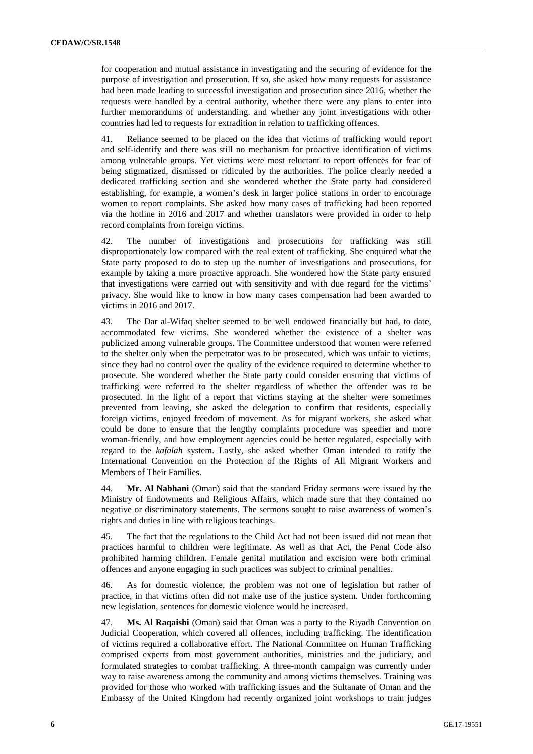for cooperation and mutual assistance in investigating and the securing of evidence for the purpose of investigation and prosecution. If so, she asked how many requests for assistance had been made leading to successful investigation and prosecution since 2016, whether the requests were handled by a central authority, whether there were any plans to enter into further memorandums of understanding. and whether any joint investigations with other countries had led to requests for extradition in relation to trafficking offences.

41. Reliance seemed to be placed on the idea that victims of trafficking would report and self-identify and there was still no mechanism for proactive identification of victims among vulnerable groups. Yet victims were most reluctant to report offences for fear of being stigmatized, dismissed or ridiculed by the authorities. The police clearly needed a dedicated trafficking section and she wondered whether the State party had considered establishing, for example, a women's desk in larger police stations in order to encourage women to report complaints. She asked how many cases of trafficking had been reported via the hotline in 2016 and 2017 and whether translators were provided in order to help record complaints from foreign victims.

42. The number of investigations and prosecutions for trafficking was still disproportionately low compared with the real extent of trafficking. She enquired what the State party proposed to do to step up the number of investigations and prosecutions, for example by taking a more proactive approach. She wondered how the State party ensured that investigations were carried out with sensitivity and with due regard for the victims' privacy. She would like to know in how many cases compensation had been awarded to victims in 2016 and 2017.

43. The Dar al-Wifaq shelter seemed to be well endowed financially but had, to date, accommodated few victims. She wondered whether the existence of a shelter was publicized among vulnerable groups. The Committee understood that women were referred to the shelter only when the perpetrator was to be prosecuted, which was unfair to victims, since they had no control over the quality of the evidence required to determine whether to prosecute. She wondered whether the State party could consider ensuring that victims of trafficking were referred to the shelter regardless of whether the offender was to be prosecuted. In the light of a report that victims staying at the shelter were sometimes prevented from leaving, she asked the delegation to confirm that residents, especially foreign victims, enjoyed freedom of movement. As for migrant workers, she asked what could be done to ensure that the lengthy complaints procedure was speedier and more woman-friendly, and how employment agencies could be better regulated, especially with regard to the *kafalah* system. Lastly, she asked whether Oman intended to ratify the International Convention on the Protection of the Rights of All Migrant Workers and Members of Their Families.

44. **Mr. Al Nabhani** (Oman) said that the standard Friday sermons were issued by the Ministry of Endowments and Religious Affairs, which made sure that they contained no negative or discriminatory statements. The sermons sought to raise awareness of women's rights and duties in line with religious teachings.

45. The fact that the regulations to the Child Act had not been issued did not mean that practices harmful to children were legitimate. As well as that Act, the Penal Code also prohibited harming children. Female genital mutilation and excision were both criminal offences and anyone engaging in such practices was subject to criminal penalties.

46. As for domestic violence, the problem was not one of legislation but rather of practice, in that victims often did not make use of the justice system. Under forthcoming new legislation, sentences for domestic violence would be increased.

47. **Ms. Al Raqaishi** (Oman) said that Oman was a party to the Riyadh Convention on Judicial Cooperation, which covered all offences, including trafficking. The identification of victims required a collaborative effort. The National Committee on Human Trafficking comprised experts from most government authorities, ministries and the judiciary, and formulated strategies to combat trafficking. A three-month campaign was currently under way to raise awareness among the community and among victims themselves. Training was provided for those who worked with trafficking issues and the Sultanate of Oman and the Embassy of the United Kingdom had recently organized joint workshops to train judges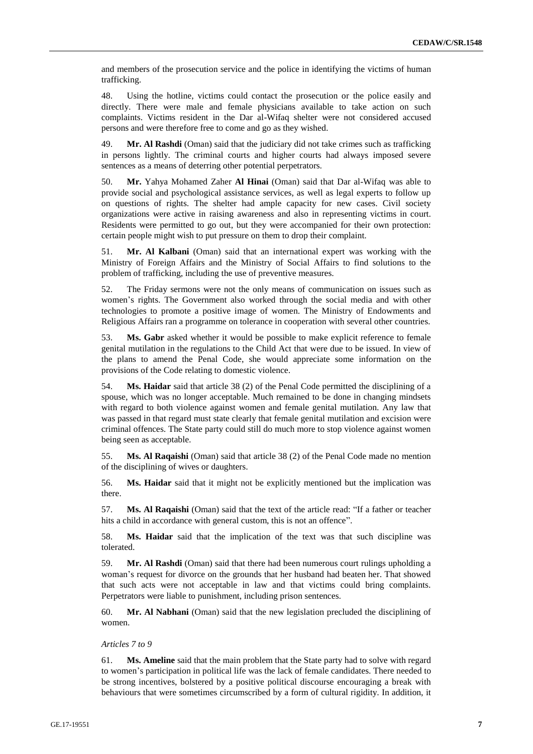and members of the prosecution service and the police in identifying the victims of human trafficking.

48. Using the hotline, victims could contact the prosecution or the police easily and directly. There were male and female physicians available to take action on such complaints. Victims resident in the Dar al-Wifaq shelter were not considered accused persons and were therefore free to come and go as they wished.

49. **Mr. Al Rashdi** (Oman) said that the judiciary did not take crimes such as trafficking in persons lightly. The criminal courts and higher courts had always imposed severe sentences as a means of deterring other potential perpetrators.

50. **Mr.** Yahya Mohamed Zaher **Al Hinai** (Oman) said that Dar al-Wifaq was able to provide social and psychological assistance services, as well as legal experts to follow up on questions of rights. The shelter had ample capacity for new cases. Civil society organizations were active in raising awareness and also in representing victims in court. Residents were permitted to go out, but they were accompanied for their own protection: certain people might wish to put pressure on them to drop their complaint.

51. **Mr. Al Kalbani** (Oman) said that an international expert was working with the Ministry of Foreign Affairs and the Ministry of Social Affairs to find solutions to the problem of trafficking, including the use of preventive measures.

52. The Friday sermons were not the only means of communication on issues such as women's rights. The Government also worked through the social media and with other technologies to promote a positive image of women. The Ministry of Endowments and Religious Affairs ran a programme on tolerance in cooperation with several other countries.

53. **Ms. Gabr** asked whether it would be possible to make explicit reference to female genital mutilation in the regulations to the Child Act that were due to be issued. In view of the plans to amend the Penal Code, she would appreciate some information on the provisions of the Code relating to domestic violence.

54. **Ms. Haidar** said that article 38 (2) of the Penal Code permitted the disciplining of a spouse, which was no longer acceptable. Much remained to be done in changing mindsets with regard to both violence against women and female genital mutilation. Any law that was passed in that regard must state clearly that female genital mutilation and excision were criminal offences. The State party could still do much more to stop violence against women being seen as acceptable.

55. **Ms. Al Raqaishi** (Oman) said that article 38 (2) of the Penal Code made no mention of the disciplining of wives or daughters.

56. **Ms. Haidar** said that it might not be explicitly mentioned but the implication was there.

57. **Ms. Al Raqaishi** (Oman) said that the text of the article read: "If a father or teacher hits a child in accordance with general custom, this is not an offence".

58. **Ms. Haidar** said that the implication of the text was that such discipline was tolerated.

59. **Mr. Al Rashdi** (Oman) said that there had been numerous court rulings upholding a woman's request for divorce on the grounds that her husband had beaten her. That showed that such acts were not acceptable in law and that victims could bring complaints. Perpetrators were liable to punishment, including prison sentences.

60. **Mr. Al Nabhani** (Oman) said that the new legislation precluded the disciplining of women.

#### *Articles 7 to 9*

61. **Ms. Ameline** said that the main problem that the State party had to solve with regard to women's participation in political life was the lack of female candidates. There needed to be strong incentives, bolstered by a positive political discourse encouraging a break with behaviours that were sometimes circumscribed by a form of cultural rigidity. In addition, it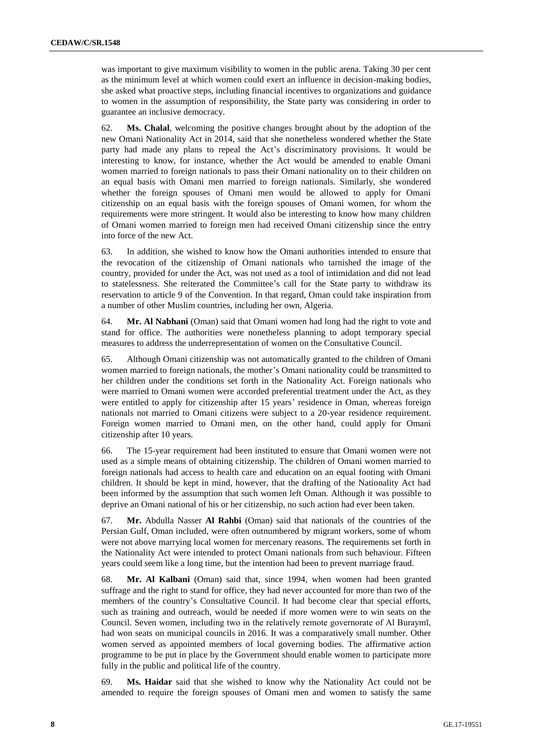was important to give maximum visibility to women in the public arena. Taking 30 per cent as the minimum level at which women could exert an influence in decision-making bodies, she asked what proactive steps, including financial incentives to organizations and guidance to women in the assumption of responsibility, the State party was considering in order to guarantee an inclusive democracy.

62. **Ms. Chalal**, welcoming the positive changes brought about by the adoption of the new Omani Nationality Act in 2014, said that she nonetheless wondered whether the State party had made any plans to repeal the Act's discriminatory provisions. It would be interesting to know, for instance, whether the Act would be amended to enable Omani women married to foreign nationals to pass their Omani nationality on to their children on an equal basis with Omani men married to foreign nationals. Similarly, she wondered whether the foreign spouses of Omani men would be allowed to apply for Omani citizenship on an equal basis with the foreign spouses of Omani women, for whom the requirements were more stringent. It would also be interesting to know how many children of Omani women married to foreign men had received Omani citizenship since the entry into force of the new Act.

63. In addition, she wished to know how the Omani authorities intended to ensure that the revocation of the citizenship of Omani nationals who tarnished the image of the country, provided for under the Act, was not used as a tool of intimidation and did not lead to statelessness. She reiterated the Committee's call for the State party to withdraw its reservation to article 9 of the Convention. In that regard, Oman could take inspiration from a number of other Muslim countries, including her own, Algeria.

64. **Mr. Al Nabhani** (Oman) said that Omani women had long had the right to vote and stand for office. The authorities were nonetheless planning to adopt temporary special measures to address the underrepresentation of women on the Consultative Council.

65. Although Omani citizenship was not automatically granted to the children of Omani women married to foreign nationals, the mother's Omani nationality could be transmitted to her children under the conditions set forth in the Nationality Act. Foreign nationals who were married to Omani women were accorded preferential treatment under the Act, as they were entitled to apply for citizenship after 15 years' residence in Oman, whereas foreign nationals not married to Omani citizens were subject to a 20-year residence requirement. Foreign women married to Omani men, on the other hand, could apply for Omani citizenship after 10 years.

66. The 15-year requirement had been instituted to ensure that Omani women were not used as a simple means of obtaining citizenship. The children of Omani women married to foreign nationals had access to health care and education on an equal footing with Omani children. It should be kept in mind, however, that the drafting of the Nationality Act had been informed by the assumption that such women left Oman. Although it was possible to deprive an Omani national of his or her citizenship, no such action had ever been taken.

67. **Mr.** Abdulla Nasser **Al Rahbi** (Oman) said that nationals of the countries of the Persian Gulf, Oman included, were often outnumbered by migrant workers, some of whom were not above marrying local women for mercenary reasons. The requirements set forth in the Nationality Act were intended to protect Omani nationals from such behaviour. Fifteen years could seem like a long time, but the intention had been to prevent marriage fraud.

68. **Mr. Al Kalbani** (Oman) said that, since 1994, when women had been granted suffrage and the right to stand for office, they had never accounted for more than two of the members of the country's Consultative Council. It had become clear that special efforts, such as training and outreach, would be needed if more women were to win seats on the Council. Seven women, including two in the relatively remote governorate of Al Buraymī, had won seats on municipal councils in 2016. It was a comparatively small number. Other women served as appointed members of local governing bodies. The affirmative action programme to be put in place by the Government should enable women to participate more fully in the public and political life of the country.

69. **Ms. Haidar** said that she wished to know why the Nationality Act could not be amended to require the foreign spouses of Omani men and women to satisfy the same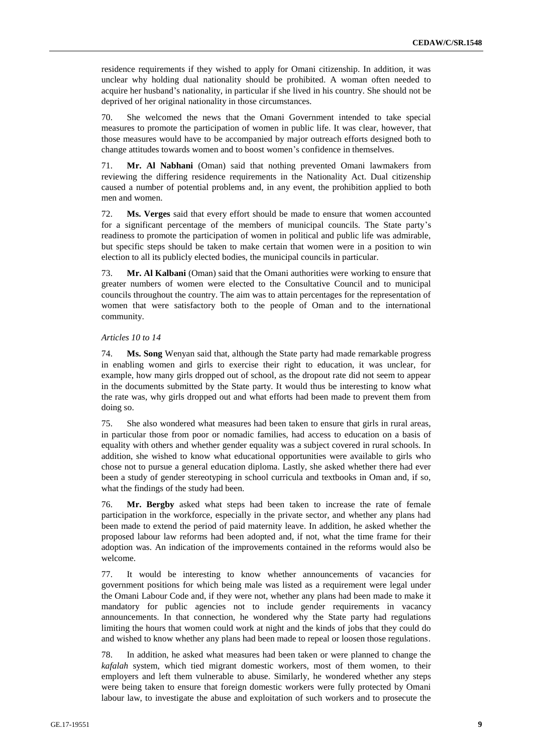residence requirements if they wished to apply for Omani citizenship. In addition, it was unclear why holding dual nationality should be prohibited. A woman often needed to acquire her husband's nationality, in particular if she lived in his country. She should not be deprived of her original nationality in those circumstances.

70. She welcomed the news that the Omani Government intended to take special measures to promote the participation of women in public life. It was clear, however, that those measures would have to be accompanied by major outreach efforts designed both to change attitudes towards women and to boost women's confidence in themselves.

71. **Mr. Al Nabhani** (Oman) said that nothing prevented Omani lawmakers from reviewing the differing residence requirements in the Nationality Act. Dual citizenship caused a number of potential problems and, in any event, the prohibition applied to both men and women.

72. **Ms. Verges** said that every effort should be made to ensure that women accounted for a significant percentage of the members of municipal councils. The State party's readiness to promote the participation of women in political and public life was admirable, but specific steps should be taken to make certain that women were in a position to win election to all its publicly elected bodies, the municipal councils in particular.

73. **Mr. Al Kalbani** (Oman) said that the Omani authorities were working to ensure that greater numbers of women were elected to the Consultative Council and to municipal councils throughout the country. The aim was to attain percentages for the representation of women that were satisfactory both to the people of Oman and to the international community.

#### *Articles 10 to 14*

74. **Ms. Song** Wenyan said that, although the State party had made remarkable progress in enabling women and girls to exercise their right to education, it was unclear, for example, how many girls dropped out of school, as the dropout rate did not seem to appear in the documents submitted by the State party. It would thus be interesting to know what the rate was, why girls dropped out and what efforts had been made to prevent them from doing so.

75. She also wondered what measures had been taken to ensure that girls in rural areas, in particular those from poor or nomadic families, had access to education on a basis of equality with others and whether gender equality was a subject covered in rural schools. In addition, she wished to know what educational opportunities were available to girls who chose not to pursue a general education diploma. Lastly, she asked whether there had ever been a study of gender stereotyping in school curricula and textbooks in Oman and, if so, what the findings of the study had been.

76. **Mr. Bergby** asked what steps had been taken to increase the rate of female participation in the workforce, especially in the private sector, and whether any plans had been made to extend the period of paid maternity leave. In addition, he asked whether the proposed labour law reforms had been adopted and, if not, what the time frame for their adoption was. An indication of the improvements contained in the reforms would also be welcome.

77. It would be interesting to know whether announcements of vacancies for government positions for which being male was listed as a requirement were legal under the Omani Labour Code and, if they were not, whether any plans had been made to make it mandatory for public agencies not to include gender requirements in vacancy announcements. In that connection, he wondered why the State party had regulations limiting the hours that women could work at night and the kinds of jobs that they could do and wished to know whether any plans had been made to repeal or loosen those regulations.

78. In addition, he asked what measures had been taken or were planned to change the *kafalah* system, which tied migrant domestic workers, most of them women, to their employers and left them vulnerable to abuse. Similarly, he wondered whether any steps were being taken to ensure that foreign domestic workers were fully protected by Omani labour law, to investigate the abuse and exploitation of such workers and to prosecute the